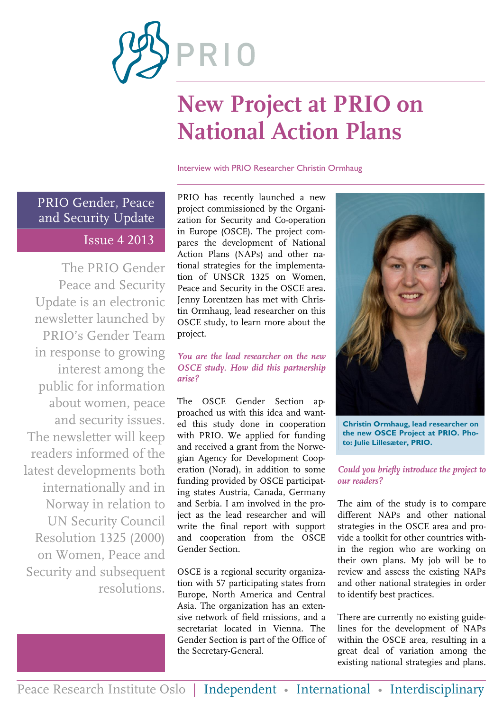

# **New Project at PRIO on National Action Plans**

#### Interview with PRIO Researcher Christin Ormhaug

PRIO Gender, Peace and Security Update Issue 4 2013

The PRIO Gender Peace and Security Update is an electronic newsletter launched by PRIO's Gender Team in response to growing interest among the public for information about women, peace and security issues. The newsletter will keep readers informed of the latest developments both internationally and in Norway in relation to UN Security Council Resolution 1325 (2000) on Women, Peace and Security and subsequent resolutions.

PRIO has recently launched a new project commissioned by the Organization for Security and Co-operation in Europe (OSCE). The project compares the development of National Action Plans (NAPs) and other national strategies for the implementation of UNSCR 1325 on Women, Peace and Security in the OSCE area. Jenny Lorentzen has met with Christin Ormhaug, lead researcher on this OSCE study, to learn more about the project.

### *You are the lead researcher on the new OSCE study. How did this partnership arise?*

The OSCE Gender Section approached us with this idea and wanted this study done in cooperation with PRIO. We applied for funding and received a grant from the Norwegian Agency for Development Cooperation (Norad), in addition to some funding provided by OSCE participating states Austria, Canada, Germany and Serbia. I am involved in the project as the lead researcher and will write the final report with support and cooperation from the OSCE Gender Section.

OSCE is a regional security organization with 57 participating states from Europe, North America and Central Asia. The organization has an extensive network of field missions, and a secretariat located in Vienna. The Gender Section is part of the Office of the Secretary-General.



**Christin Ormhaug, lead researcher on the new OSCE Project at PRIO. Photo: Julie Lillesæter, PRIO.**

### *Could you briefly introduce the project to our readers?*

The aim of the study is to compare different NAPs and other national strategies in the OSCE area and provide a toolkit for other countries within the region who are working on their own plans. My job will be to review and assess the existing NAPs and other national strategies in order to identify best practices.

There are currently no existing guidelines for the development of NAPs within the OSCE area, resulting in a great deal of variation among the existing national strategies and plans.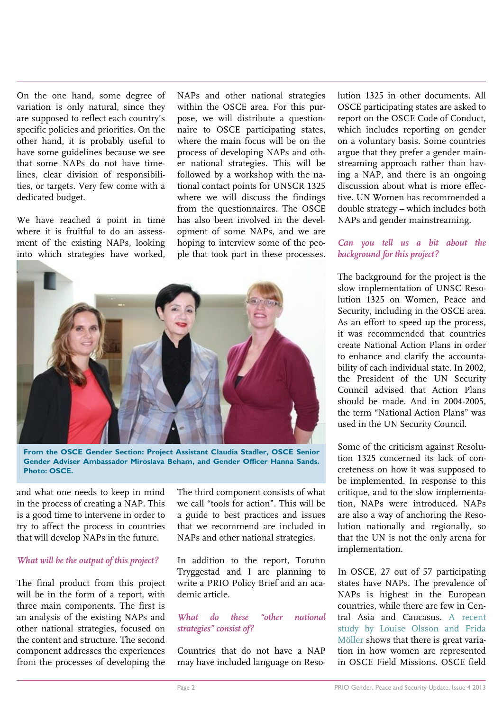On the one hand, some degree of variation is only natural, since they are supposed to reflect each country's specific policies and priorities. On the other hand, it is probably useful to have some guidelines because we see that some NAPs do not have timelines, clear division of responsibilities, or targets. Very few come with a dedicated budget.

We have reached a point in time where it is fruitful to do an assessment of the existing NAPs, looking into which strategies have worked, NAPs and other national strategies within the OSCE area. For this purpose, we will distribute a questionnaire to OSCE participating states, where the main focus will be on the process of developing NAPs and other national strategies. This will be followed by a workshop with the national contact points for UNSCR 1325 where we will discuss the findings from the questionnaires. The OSCE has also been involved in the development of some NAPs, and we are hoping to interview some of the people that took part in these processes.



**From the OSCE Gender Section: Project Assistant Claudia Stadler, OSCE Senior Gender Adviser Ambassador Miroslava Beham, and Gender Officer Hanna Sands. Photo: OSCE.**

and what one needs to keep in mind in the process of creating a NAP. This is a good time to intervene in order to try to affect the process in countries that will develop NAPs in the future.

#### *What will be the output of this project?*

The final product from this project will be in the form of a report, with three main components. The first is an analysis of the existing NAPs and other national strategies, focused on the content and structure. The second component addresses the experiences from the processes of developing the

The third component consists of what we call "tools for action". This will be a guide to best practices and issues that we recommend are included in NAPs and other national strategies.

In addition to the report, Torunn Tryggestad and I are planning to write a PRIO Policy Brief and an academic article.

*What do these "other national strategies" consist of?*

Countries that do not have a NAP may have included language on Resolution 1325 in other documents. All OSCE participating states are asked to report on the OSCE Code of Conduct, which includes reporting on gender on a voluntary basis. Some countries argue that they prefer a gender mainstreaming approach rather than having a NAP, and there is an ongoing discussion about what is more effective. UN Women has recommended a double strategy – which includes both NAPs and gender mainstreaming.

### *Can you tell us a bit about the background for this project?*

The background for the project is the slow implementation of UNSC Resolution 1325 on Women, Peace and Security, including in the OSCE area. As an effort to speed up the process, it was recommended that countries create National Action Plans in order to enhance and clarify the accountability of each individual state. In 2002, the President of the UN Security Council advised that Action Plans should be made. And in 2004-2005, the term "National Action Plans" was used in the UN Security Council.

Some of the criticism against Resolution 1325 concerned its lack of concreteness on how it was supposed to be implemented. In response to this critique, and to the slow implementation, NAPs were introduced. NAPs are also a way of anchoring the Resolution nationally and regionally, so that the UN is not the only arena for implementation.

In OSCE, 27 out of 57 participating states have NAPs. The prevalence of NAPs is highest in the European countries, while there are few in Central Asia and Caucasus. [A recent](http://www.tandfonline.com/doi/pdf/10.1080/03050629.2013.805325)  [study by Louise Olsson and Frida](http://www.tandfonline.com/doi/pdf/10.1080/03050629.2013.805325)  [Möller](http://www.tandfonline.com/doi/pdf/10.1080/03050629.2013.805325) shows that there is great variation in how women are represented in OSCE Field Missions. OSCE field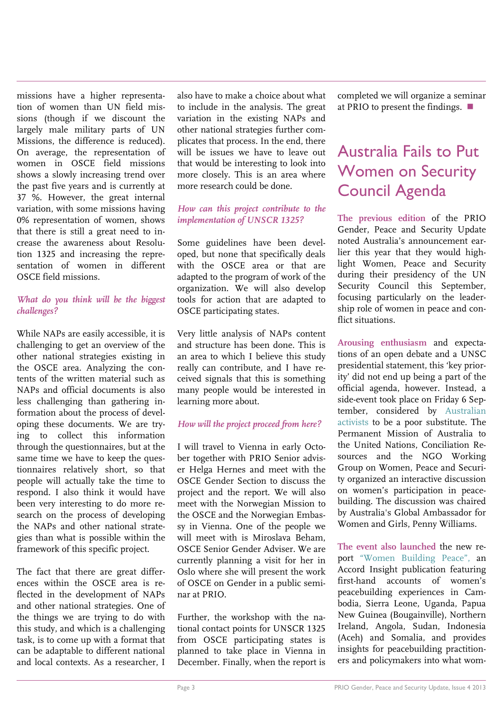missions have a higher representation of women than UN field missions (though if we discount the largely male military parts of UN Missions, the difference is reduced). On average, the representation of women in OSCE field missions shows a slowly increasing trend over the past five years and is currently at 37 %. However, the great internal variation, with some missions having 0% representation of women, shows that there is still a great need to increase the awareness about Resolution 1325 and increasing the representation of women in different OSCE field missions.

### *What do you think will be the biggest challenges?*

While NAPs are easily accessible, it is challenging to get an overview of the other national strategies existing in the OSCE area. Analyzing the contents of the written material such as NAPs and official documents is also less challenging than gathering information about the process of developing these documents. We are trying to collect this information through the questionnaires, but at the same time we have to keep the questionnaires relatively short, so that people will actually take the time to respond. I also think it would have been very interesting to do more research on the process of developing the NAPs and other national strategies than what is possible within the framework of this specific project.

The fact that there are great differences within the OSCE area is reflected in the development of NAPs and other national strategies. One of the things we are trying to do with this study, and which is a challenging task, is to come up with a format that can be adaptable to different national and local contexts. As a researcher, I

also have to make a choice about what to include in the analysis. The great variation in the existing NAPs and other national strategies further complicates that process. In the end, there will be issues we have to leave out that would be interesting to look into more closely. This is an area where more research could be done.

### *How can this project contribute to the implementation of UNSCR 1325?*

Some guidelines have been developed, but none that specifically deals with the OSCE area or that are adapted to the program of work of the organization. We will also develop tools for action that are adapted to OSCE participating states.

Very little analysis of NAPs content and structure has been done. This is an area to which I believe this study really can contribute, and I have received signals that this is something many people would be interested in learning more about.

### *How will the project proceed from here?*

I will travel to Vienna in early October together with PRIO Senior adviser Helga Hernes and meet with the OSCE Gender Section to discuss the project and the report. We will also meet with the Norwegian Mission to the OSCE and the Norwegian Embassy in Vienna. One of the people we will meet with is Miroslava Beham, OSCE Senior Gender Adviser. We are currently planning a visit for her in Oslo where she will present the work of OSCE on Gender in a public seminar at PRIO.

Further, the workshop with the national contact points for UNSCR 1325 from OSCE participating states is planned to take place in Vienna in December. Finally, when the report is completed we will organize a seminar at PRIO to present the findings.

## Australia Fails to Put Women on Security Council Agenda

**The previous edition** of the PRIO Gender, Peace and Security Update noted Australia's announcement earlier this year that they would highlight Women, Peace and Security during their presidency of the UN Security Council this September, focusing particularly on the leadership role of women in peace and conflict situations.

**Arousing enthusiasm** and expectations of an open debate and a UNSC presidential statement, this 'key priority' did not end up being a part of the official agenda, however. Instead, a side-event took place on Friday 6 September, considered by [Australian](http://wpsac.wordpress.com/2013/08/02/australia-poised-to-break-its-promise-to-women-of-the-world/)  [activists](http://wpsac.wordpress.com/2013/08/02/australia-poised-to-break-its-promise-to-women-of-the-world/) to be a poor substitute. The Permanent Mission of Australia to the United Nations, Conciliation Resources and the NGO Working Group on Women, Peace and Security organized an interactive discussion on women's participation in peacebuilding. The discussion was chaired by Australia's Global Ambassador for Women and Girls, Penny Williams.

**The event also launched** the new report ["Women Building Peace",](http://www.c-r.org/resources/accord-insight-women-building-peace) an Accord Insight publication featuring first-hand accounts of women's peacebuilding experiences in Cambodia, Sierra Leone, Uganda, Papua New Guinea (Bougainville), Northern Ireland, Angola, Sudan, Indonesia (Aceh) and Somalia, and provides insights for peacebuilding practitioners and policymakers into what wom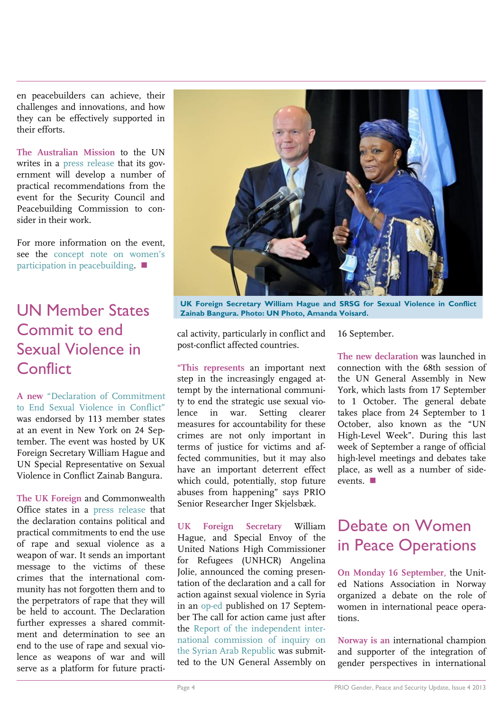en peacebuilders can achieve, their challenges and innovations, and how they can be effectively supported in their efforts.

**The Australian Mission** to the UN writes in a [press release](http://dfat.gov.au/media/releases/department/2013/dfat-release-20130906.html) that its government will develop a number of practical recommendations from the event for the Security Council and Peacebuilding Commission to consider in their work.

For more information on the event, see the [concept note on women's](https://attachment.fbsbx.com/file_download.php?id=160949117433240&eid=ASsanQV3qv_y4qkKl0CbpkEkNWzXr6B3tl149l28wZlOCRFweEwODCp5uGck4NPcxNE&inline=1&ext=1378719240&hash=ASvN7Y5gOAndmxzI)  [participation in peacebuilding.](https://attachment.fbsbx.com/file_download.php?id=160949117433240&eid=ASsanQV3qv_y4qkKl0CbpkEkNWzXr6B3tl149l28wZlOCRFweEwODCp5uGck4NPcxNE&inline=1&ext=1378719240&hash=ASvN7Y5gOAndmxzI) ■

### UN Member States Commit to end Sexual Violence in **Conflict**

**A new** ["Declaration of](https://www.gov.uk/government/uploads/system/uploads/attachment_data/file/244849/A_DECLARATION_OF_COMMITMENT_TO_END_SEXUAL_VIOLENCE_IN_CONFLICT__TO_PRINT....pdf) Commitment [to End Sexual Violence in Conflict"](https://www.gov.uk/government/uploads/system/uploads/attachment_data/file/244849/A_DECLARATION_OF_COMMITMENT_TO_END_SEXUAL_VIOLENCE_IN_CONFLICT__TO_PRINT....pdf) was endorsed by 113 member states at an event in New York on 24 September. The event was hosted by UK Foreign Secretary William Hague and UN Special Representative on Sexual Violence in Conflict Zainab Bangura.

**The UK Foreign** and Commonwealth Office states in a [press release](https://www.gov.uk/government/news/113-countries-pledge-action-to-end-sexual-violence-in-conflict-timetoact) that the declaration contains political and practical commitments to end the use of rape and sexual violence as a weapon of war. It sends an important message to the victims of these crimes that the international community has not forgotten them and to the perpetrators of rape that they will be held to account. The Declaration further expresses a shared commitment and determination to see an end to the use of rape and sexual violence as weapons of war and will serve as a platform for future practi-



**UK Foreign Secretary William Hague and SRSG for Sexual Violence in Conflict Zainab Bangura. Photo: UN Photo, Amanda Voisard.**

cal activity, particularly in conflict and post-conflict affected countries.

**"This represents** an important next step in the increasingly engaged attempt by the international community to end the strategic use sexual violence in war. Setting clearer measures for accountability for these crimes are not only important in terms of justice for victims and affected communities, but it may also have an important deterrent effect which could, potentially, stop future abuses from happening" says PRIO Senior Researcher Inger Skjelsbæk.

**UK Foreign Secretary** William Hague, and Special Envoy of the United Nations High Commissioner for Refugees (UNHCR) Angelina Jolie, announced the coming presentation of the declaration and a call for action against sexual violence in Syria in an [op-ed](http://english.alarabiya.net/en/News/world/2013/09/17/Call-for-action-against-sexual-violence-in-Syria.html) published on 17 September The call for action came just after the [Report of the independent inter](http://www.ohchr.org/EN/HRBodies/HRC/IICISyria/Pages/IndependentInternationalCommission.aspx)[national commission of inquiry on](http://www.ohchr.org/EN/HRBodies/HRC/IICISyria/Pages/IndependentInternationalCommission.aspx)  [the Syrian Arab Republic](http://www.ohchr.org/EN/HRBodies/HRC/IICISyria/Pages/IndependentInternationalCommission.aspx) was submitted to the UN General Assembly on

16 September.

**The new declaration** was launched in connection with the 68th session of the UN General Assembly in New York, which lasts from 17 September to 1 October. The general debate takes place from 24 September to 1 October, also known as the "UN High-Level Week". During this last week of September a range of official high-level meetings and debates take place, as well as a number of sideevents.

### Debate on Women in Peace Operations

**On Monday 16 September,** the United Nations Association in Norway organized a debate on the role of women in international peace operations.

**Norway is an** international champion and supporter of the integration of gender perspectives in international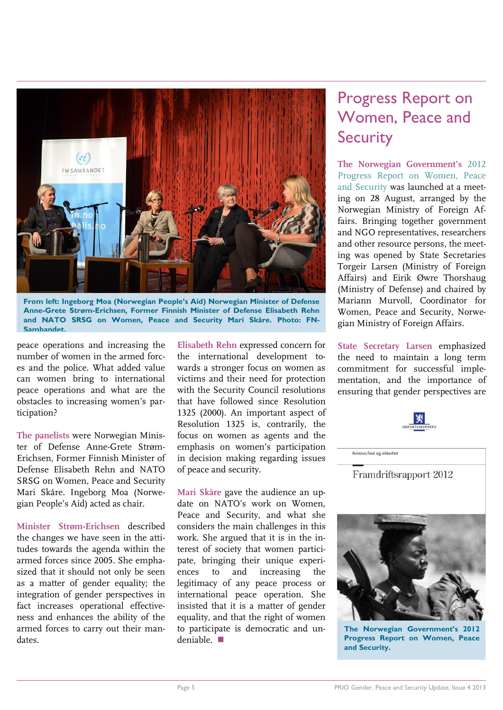

**From left: Ingeborg Moa (Norwegian People's Aid) Norwegian Minister of Defense Anne-Grete Strøm-Erichsen, Former Finnish Minister of Defense Elisabeth Rehn and NATO SRSG on Women, Peace and Security Mari Skåre. Photo: FN-Sambandet.**

peace operations and increasing the number of women in the armed forces and the police. What added value can women bring to international peace operations and what are the obstacles to increasing women's participation?

**The panelists** were Norwegian Minister of Defense Anne-Grete Strøm-Erichsen, Former Finnish Minister of Defense Elisabeth Rehn and NATO SRSG on Women, Peace and Security Mari Skåre. Ingeborg Moa (Norwegian People's Aid) acted as chair.

**Minister Strøm-Erichsen** described the changes we have seen in the attitudes towards the agenda within the armed forces since 2005. She emphasized that it should not only be seen as a matter of gender equality; the integration of gender perspectives in fact increases operational effectiveness and enhances the ability of the armed forces to carry out their mandates.

**Elisabeth Rehn** expressed concern for the international development towards a stronger focus on women as victims and their need for protection with the Security Council resolutions that have followed since Resolution 1325 (2000). An important aspect of Resolution 1325 is, contrarily, the focus on women as agents and the emphasis on women's participation in decision making regarding issues of peace and security.

**Mari Skåre** gave the audience an update on NATO's work on Women, Peace and Security, and what she considers the main challenges in this work. She argued that it is in the interest of society that women participate, bringing their unique experiences to and increasing the legitimacy of any peace process or international peace operation. She insisted that it is a matter of gender equality, and that the right of women to participate is democratic and undeniable.

### Progress Report on Women, Peace and **Security**

**The Norwegian Government's** [2012](http://www.regjeringen.no/upload/UD/Vedlegg/framdriftsrapport_2012.pdf)  [Progress Report on Women, Peace](http://www.regjeringen.no/upload/UD/Vedlegg/framdriftsrapport_2012.pdf)  [and Security](http://www.regjeringen.no/upload/UD/Vedlegg/framdriftsrapport_2012.pdf) was launched at a meeting on 28 August, arranged by the Norwegian Ministry of Foreign Affairs. Bringing together government and NGO representatives, researchers and other resource persons, the meeting was opened by State Secretaries Torgeir Larsen (Ministry of Foreign Affairs) and Eirik Øwre Thorshaug (Ministry of Defense) and chaired by Mariann Murvoll, Coordinator for Women, Peace and Security, Norwegian Ministry of Foreign Affairs.

**State Secretary Larsen** emphasized the need to maintain a long term commitment for successful implementation, and the importance of ensuring that gender perspectives are

Framdriftsrapport 2012

Kvinner, fred og sikkerhet



**The Norwegian Government's 2012 Progress Report on Women, Peace and Security.**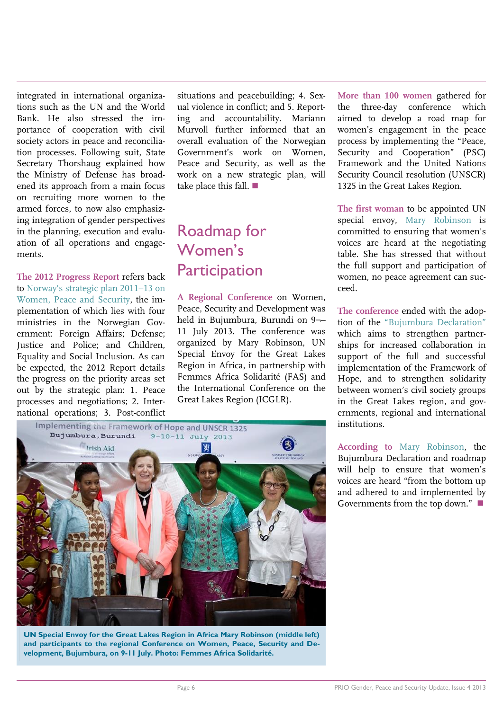integrated in international organizations such as the UN and the World Bank. He also stressed the importance of cooperation with civil society actors in peace and reconciliation processes. Following suit, State Secretary Thorshaug explained how the Ministry of Defense has broadened its approach from a main focus on recruiting more women to the armed forces, to now also emphasizing integration of gender perspectives in the planning, execution and evaluation of all operations and engagements.

**The 2012 Progress Report** refers back to [Norway's strategic plan 2011](http://www.regjeringen.no/upload/UD/Vedlegg/FN/Kvinner_likestilling/sr1325_strategic_planE880E_web.pdf)–13 on [Women, Peace and Security,](http://www.regjeringen.no/upload/UD/Vedlegg/FN/Kvinner_likestilling/sr1325_strategic_planE880E_web.pdf) the implementation of which lies with four ministries in the Norwegian Government: Foreign Affairs; Defense; Justice and Police; and Children, Equality and Social Inclusion. As can be expected, the 2012 Report details the progress on the priority areas set out by the strategic plan: 1. Peace processes and negotiations; 2. International operations; 3. Post-conflict situations and peacebuilding; 4. Sexual violence in conflict; and 5. Reporting and accountability. Mariann Murvoll further informed that an overall evaluation of the Norwegian Government's work on Women, Peace and Security, as well as the work on a new strategic plan, will take place this fall.

### Roadmap for Women's **Participation**

**A Regional Conference** on Women, Peace, Security and Development was held in Bujumbura, Burundi on 9¬– 11 July 2013. The conference was organized by Mary Robinson, UN Special Envoy for the Great Lakes Region in Africa, in partnership with Femmes Africa Solidarité (FAS) and the International Conference on the Great Lakes Region (ICGLR).

Implementing the Framework of Hope and UNSCR 1325  $9-10-11$  July 2013 Bujumbura, Burundi **Trish Aid** 

**UN Special Envoy for the Great Lakes Region in Africa Mary Robinson (middle left) and participants to the regional Conference on Women, Peace, Security and Development, Bujumbura, on 9-11 July. Photo: Femmes Africa Solidarité.**

**More than 100 women** gathered for the three-day conference which aimed to develop a road map for women's engagement in the peace process by implementing the "Peace, Security and Cooperation" (PSC) Framework and the United Nations Security Council resolution (UNSCR) 1325 in the Great Lakes Region.

**The first woman** to be appointed UN special envoy, [Mary Robinson](http://www.theguardian.com/global-development/poverty-matters/2013/aug/12/democratic-republic-congo-women-peace?CMP=twt_gu) is committed to ensuring that women's voices are heard at the negotiating table. She has stressed that without the full support and participation of women, no peace agreement can succeed.

**The conference** ended with the adoption of the ["Bujumbura Declaration"](http://www.fasngo.org/assets/files/Great%20Lakes%202013/Bujumbura%20Regional%20Conference%20Declaration.pdf) which aims to strengthen partnerships for increased collaboration in support of the full and successful implementation of the Framework of Hope, and to strengthen solidarity between women's civil society groups in the Great Lakes region, and governments, regional and international institutions.

**According to** [Mary Robinson,](http://www.fasngo.org/assets/files/Great%20Lakes%202013/GLC%20-%20Press%20release.pdf) the Bujumbura Declaration and roadmap will help to ensure that women's voices are heard "from the bottom up and adhered to and implemented by Governments from the top down."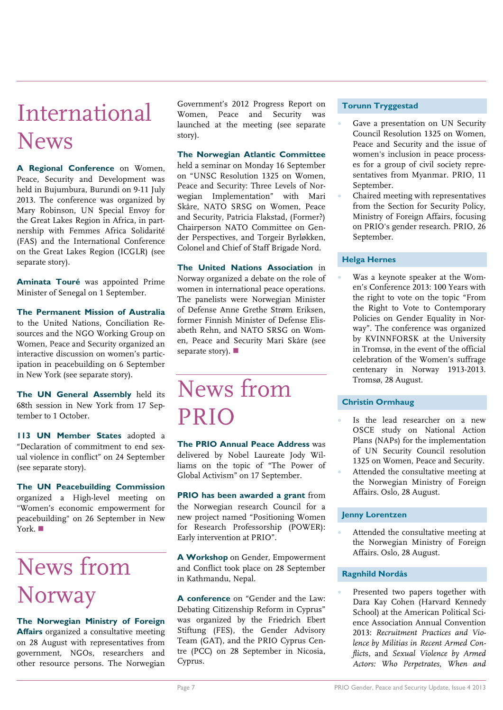## International News

**A Regional Conference** on Women, Peace, Security and Development was held in Bujumbura, Burundi on 9-11 July 2013. The conference was organized by Mary Robinson, UN Special Envoy for the Great Lakes Region in Africa, in partnership with Femmes Africa Solidarité (FAS) and the International Conference on the Great Lakes Region (ICGLR) (see separate story).

**Aminata Touré** was appointed Prime Minister of Senegal on 1 September.

#### **The Permanent Mission of Australia**  to the United Nations, Conciliation Resources and the NGO Working Group on Women, Peace and Security organized an interactive discussion on women's participation in peacebuilding on 6 September in New York (see separate story).

**The UN General Assembly** held its 68th session in New York from 17 September to 1 October.

**113 UN Member States** adopted a "Declaration of commitment to end sexual violence in conflict" on 24 September (see separate story).

**The UN Peacebuilding Commission** organized a High-level meeting on "Women's economic empowerment for peacebuilding" on 26 September in New York.

# News from Norway

**The Norwegian Ministry of Foreign Affairs** organized a consultative meeting on 28 August with representatives from government, NGOs, researchers and other resource persons. The Norwegian

Government's 2012 Progress Report on Women, Peace and Security was launched at the meeting (see separate story).

**The Norwegian Atlantic Committee** held a seminar on Monday 16 September on "UNSC Resolution 1325 on Women, Peace and Security: Three Levels of Norwegian Implementation" with Mari Skåre, NATO SRSG on Women, Peace and Security, Patricia Flakstad, (Former?) Chairperson NATO Committee on Gender Perspectives, and Torgeir Byrløkken, Colonel and Chief of Staff Brigade Nord.

**The United Nations Association** in Norway organized a debate on the role of women in international peace operations. The panelists were Norwegian Minister of Defense Anne Grethe Strøm Eriksen, former Finnish Minister of Defense Elisabeth Rehn, and NATO SRSG on Women, Peace and Security Mari Skåre (see separate story).

## News from PRIO

**The PRIO Annual Peace Address** was delivered by Nobel Laureate Jody Williams on the topic of "The Power of Global Activism" on 17 September.

**PRIO has been awarded a grant** from the Norwegian research Council for a new project named "Positioning Women for Research Professorship (POWER): Early intervention at PRIO".

**A Workshop** on Gender, Empowerment and Conflict took place on 28 September in Kathmandu, Nepal.

**A conference** on "Gender and the Law: Debating Citizenship Reform in Cyprus" was organized by the Friedrich Ebert Stiftung (FES), the Gender Advisory Team (GAT), and the PRIO Cyprus Centre (PCC) on 28 September in Nicosia, Cyprus.

### **Torunn Tryggestad**

- Gave a presentation on UN Security Council Resolution 1325 on Women, Peace and Security and the issue of women's inclusion in peace processes for a group of civil society representatives from Myanmar. PRIO, 11 September.
- Chaired meeting with representatives from the Section for Security Policy, Ministry of Foreign Affairs, focusing on PRIO's gender research. PRIO, 26 September.

### **Helga Hernes**

 Was a keynote speaker at the Women's Conference 2013: 100 Years with the right to vote on the topic "From the Right to Vote to Contemporary Policies on Gender Equality in Norway". The conference was organized by KVINNFORSK at the University in Tromsø, in the event of the official celebration of the Women's suffrage centenary in Norway 1913-2013. Tromsø, 28 August.

### **Christin Ormhaug**

- Is the lead researcher on a new OSCE study on National Action Plans (NAPs) for the implementation of UN Security Council resolution 1325 on Women, Peace and Security.
- Attended the consultative meeting at the Norwegian Ministry of Foreign Affairs. Oslo, 28 August.

### **Jenny Lorentzen**

 Attended the consultative meeting at the Norwegian Ministry of Foreign Affairs. Oslo, 28 August.

### **Ragnhild Nordås**

 Presented two papers together with Dara Kay Cohen (Harvard Kennedy School) at the American Political Science Association Annual Convention 2013: *Recruitment Practices and Violence by Militias in Recent Armed Conflict*s, and *Sexual Violence by Armed Actors: Who Perpetrates, When and*